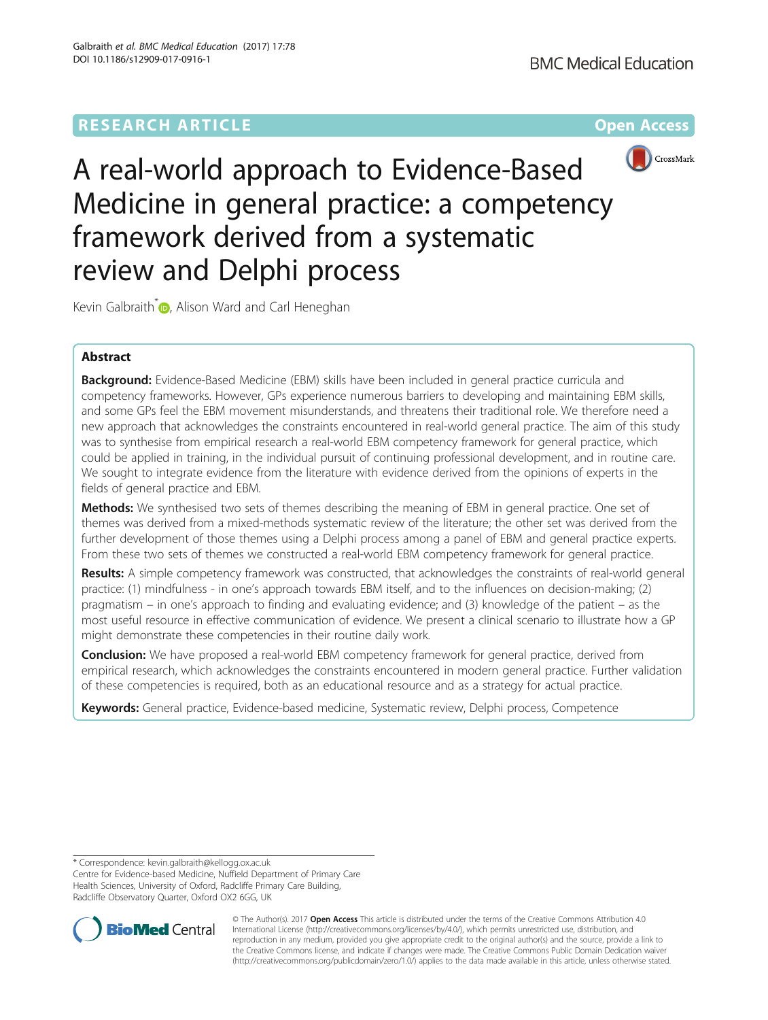# **RESEARCH ARTICLE External Structure Community Community Community Community Community Community Community Community**



A real-world approach to Evidence-Based Medicine in general practice: a competency framework derived from a systematic review and Delphi process

Kevin Galbraith<sup>\*</sup> [,](http://orcid.org/0000-0002-3805-4093) Alison Ward and Carl Heneghan

## Abstract

Background: Evidence-Based Medicine (EBM) skills have been included in general practice curricula and competency frameworks. However, GPs experience numerous barriers to developing and maintaining EBM skills, and some GPs feel the EBM movement misunderstands, and threatens their traditional role. We therefore need a new approach that acknowledges the constraints encountered in real-world general practice. The aim of this study was to synthesise from empirical research a real-world EBM competency framework for general practice, which could be applied in training, in the individual pursuit of continuing professional development, and in routine care. We sought to integrate evidence from the literature with evidence derived from the opinions of experts in the fields of general practice and EBM.

Methods: We synthesised two sets of themes describing the meaning of EBM in general practice. One set of themes was derived from a mixed-methods systematic review of the literature; the other set was derived from the further development of those themes using a Delphi process among a panel of EBM and general practice experts. From these two sets of themes we constructed a real-world EBM competency framework for general practice.

Results: A simple competency framework was constructed, that acknowledges the constraints of real-world general practice: (1) mindfulness - in one's approach towards EBM itself, and to the influences on decision-making; (2) pragmatism – in one's approach to finding and evaluating evidence; and (3) knowledge of the patient – as the most useful resource in effective communication of evidence. We present a clinical scenario to illustrate how a GP might demonstrate these competencies in their routine daily work.

**Conclusion:** We have proposed a real-world EBM competency framework for general practice, derived from empirical research, which acknowledges the constraints encountered in modern general practice. Further validation of these competencies is required, both as an educational resource and as a strategy for actual practice.

Keywords: General practice, Evidence-based medicine, Systematic review, Delphi process, Competence

\* Correspondence: [kevin.galbraith@kellogg.ox.ac.uk](mailto:kevin.galbraith@kellogg.ox.ac.uk)

Centre for Evidence-based Medicine, Nuffield Department of Primary Care Health Sciences, University of Oxford, Radcliffe Primary Care Building, Radcliffe Observatory Quarter, Oxford OX2 6GG, UK



© The Author(s). 2017 **Open Access** This article is distributed under the terms of the Creative Commons Attribution 4.0 International License [\(http://creativecommons.org/licenses/by/4.0/](http://creativecommons.org/licenses/by/4.0/)), which permits unrestricted use, distribution, and reproduction in any medium, provided you give appropriate credit to the original author(s) and the source, provide a link to the Creative Commons license, and indicate if changes were made. The Creative Commons Public Domain Dedication waiver [\(http://creativecommons.org/publicdomain/zero/1.0/](http://creativecommons.org/publicdomain/zero/1.0/)) applies to the data made available in this article, unless otherwise stated.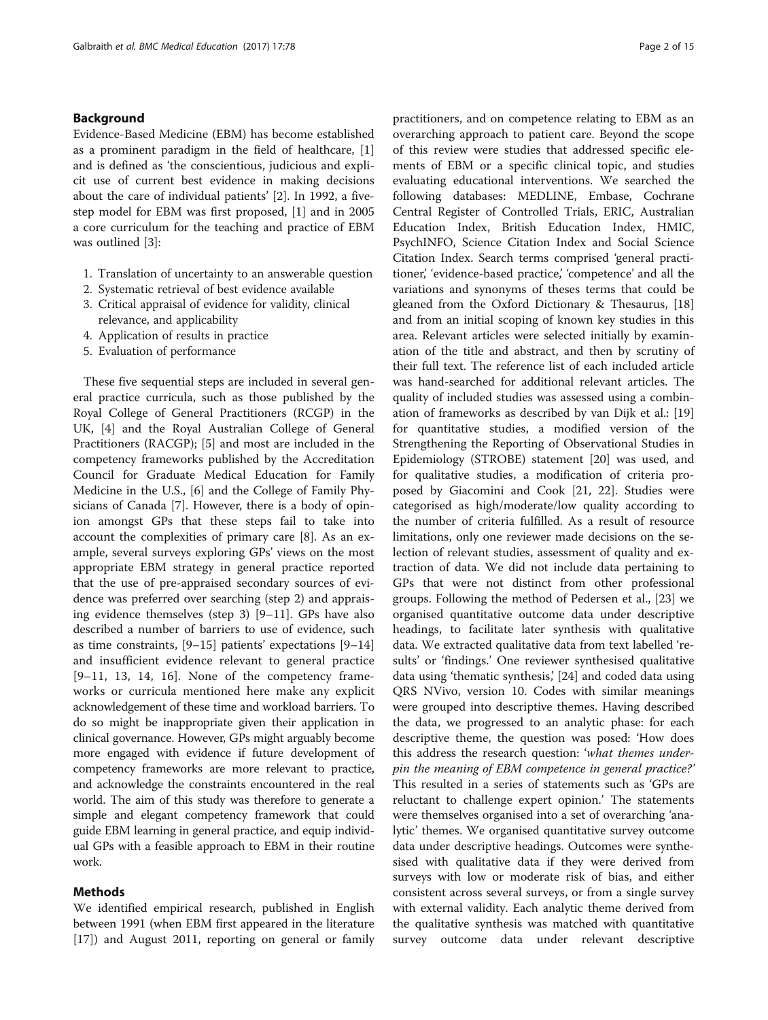### Background

Evidence-Based Medicine (EBM) has become established as a prominent paradigm in the field of healthcare, [\[1](#page-13-0)] and is defined as 'the conscientious, judicious and explicit use of current best evidence in making decisions about the care of individual patients' [[2\]](#page-13-0). In 1992, a fivestep model for EBM was first proposed, [\[1](#page-13-0)] and in 2005 a core curriculum for the teaching and practice of EBM was outlined [[3\]](#page-13-0):

- 1. Translation of uncertainty to an answerable question
- 2. Systematic retrieval of best evidence available
- 3. Critical appraisal of evidence for validity, clinical relevance, and applicability
- 4. Application of results in practice
- 5. Evaluation of performance

These five sequential steps are included in several general practice curricula, such as those published by the Royal College of General Practitioners (RCGP) in the UK, [\[4](#page-13-0)] and the Royal Australian College of General Practitioners (RACGP); [\[5](#page-13-0)] and most are included in the competency frameworks published by the Accreditation Council for Graduate Medical Education for Family Medicine in the U.S., [[6\]](#page-13-0) and the College of Family Physicians of Canada [[7\]](#page-13-0). However, there is a body of opinion amongst GPs that these steps fail to take into account the complexities of primary care [[8\]](#page-13-0). As an example, several surveys exploring GPs' views on the most appropriate EBM strategy in general practice reported that the use of pre-appraised secondary sources of evidence was preferred over searching (step 2) and appraising evidence themselves (step 3) [\[9](#page-13-0)–[11\]](#page-13-0). GPs have also described a number of barriers to use of evidence, such as time constraints, [\[9](#page-13-0)–[15\]](#page-13-0) patients' expectations [[9](#page-13-0)–[14](#page-13-0)] and insufficient evidence relevant to general practice [[9](#page-13-0)–[11, 13, 14, 16\]](#page-13-0). None of the competency frameworks or curricula mentioned here make any explicit acknowledgement of these time and workload barriers. To do so might be inappropriate given their application in clinical governance. However, GPs might arguably become more engaged with evidence if future development of competency frameworks are more relevant to practice, and acknowledge the constraints encountered in the real world. The aim of this study was therefore to generate a simple and elegant competency framework that could guide EBM learning in general practice, and equip individual GPs with a feasible approach to EBM in their routine work.

#### Methods

We identified empirical research, published in English between 1991 (when EBM first appeared in the literature [[17\]](#page-13-0)) and August 2011, reporting on general or family practitioners, and on competence relating to EBM as an overarching approach to patient care. Beyond the scope of this review were studies that addressed specific elements of EBM or a specific clinical topic, and studies evaluating educational interventions. We searched the following databases: MEDLINE, Embase, Cochrane Central Register of Controlled Trials, ERIC, Australian Education Index, British Education Index, HMIC, PsychINFO, Science Citation Index and Social Science Citation Index. Search terms comprised 'general practitioner,' 'evidence-based practice,' 'competence' and all the variations and synonyms of theses terms that could be gleaned from the Oxford Dictionary & Thesaurus, [[18](#page-13-0)] and from an initial scoping of known key studies in this area. Relevant articles were selected initially by examination of the title and abstract, and then by scrutiny of their full text. The reference list of each included article was hand-searched for additional relevant articles. The quality of included studies was assessed using a combination of frameworks as described by van Dijk et al.: [[19](#page-13-0)] for quantitative studies, a modified version of the Strengthening the Reporting of Observational Studies in Epidemiology (STROBE) statement [[20](#page-13-0)] was used, and for qualitative studies, a modification of criteria proposed by Giacomini and Cook [[21, 22\]](#page-13-0). Studies were categorised as high/moderate/low quality according to the number of criteria fulfilled. As a result of resource limitations, only one reviewer made decisions on the selection of relevant studies, assessment of quality and extraction of data. We did not include data pertaining to GPs that were not distinct from other professional groups. Following the method of Pedersen et al., [\[23\]](#page-13-0) we organised quantitative outcome data under descriptive headings, to facilitate later synthesis with qualitative data. We extracted qualitative data from text labelled 'results' or 'findings.' One reviewer synthesised qualitative data using 'thematic synthesis,' [[24](#page-13-0)] and coded data using QRS NVivo, version 10. Codes with similar meanings were grouped into descriptive themes. Having described the data, we progressed to an analytic phase: for each descriptive theme, the question was posed: 'How does this address the research question: 'what themes underpin the meaning of EBM competence in general practice?' This resulted in a series of statements such as 'GPs are reluctant to challenge expert opinion.' The statements were themselves organised into a set of overarching 'analytic' themes. We organised quantitative survey outcome data under descriptive headings. Outcomes were synthesised with qualitative data if they were derived from surveys with low or moderate risk of bias, and either consistent across several surveys, or from a single survey with external validity. Each analytic theme derived from the qualitative synthesis was matched with quantitative survey outcome data under relevant descriptive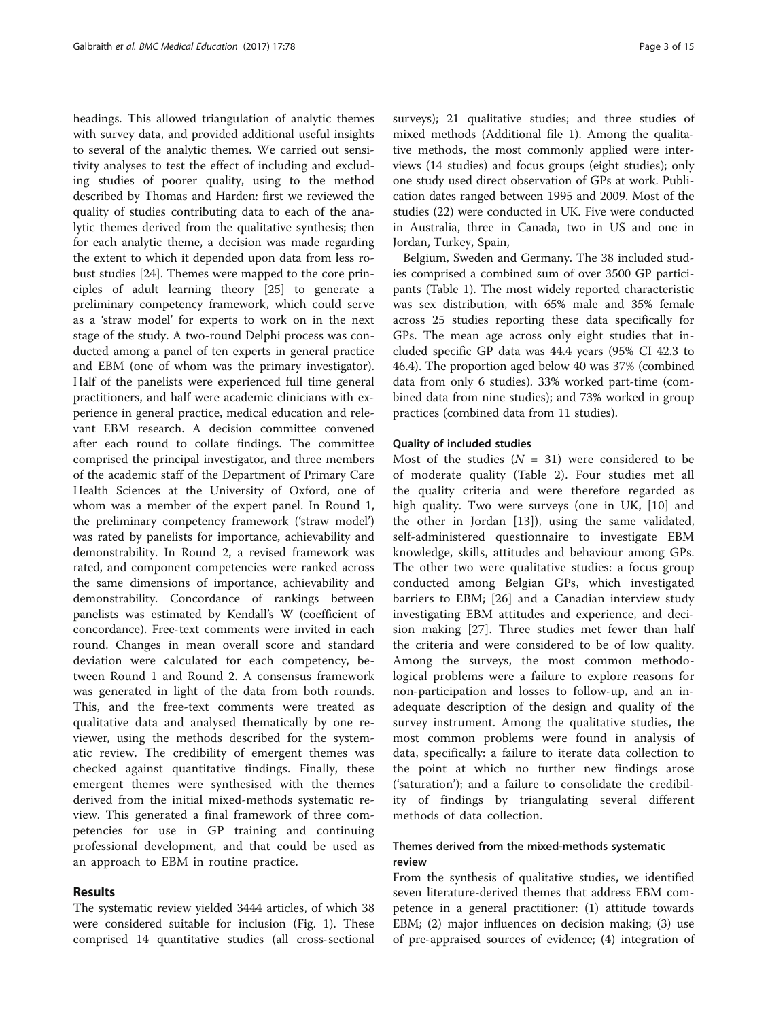headings. This allowed triangulation of analytic themes with survey data, and provided additional useful insights to several of the analytic themes. We carried out sensitivity analyses to test the effect of including and excluding studies of poorer quality, using to the method described by Thomas and Harden: first we reviewed the quality of studies contributing data to each of the analytic themes derived from the qualitative synthesis; then for each analytic theme, a decision was made regarding the extent to which it depended upon data from less robust studies [\[24](#page-13-0)]. Themes were mapped to the core principles of adult learning theory [[25\]](#page-13-0) to generate a preliminary competency framework, which could serve as a 'straw model' for experts to work on in the next stage of the study. A two-round Delphi process was conducted among a panel of ten experts in general practice and EBM (one of whom was the primary investigator). Half of the panelists were experienced full time general practitioners, and half were academic clinicians with experience in general practice, medical education and relevant EBM research. A decision committee convened after each round to collate findings. The committee comprised the principal investigator, and three members of the academic staff of the Department of Primary Care Health Sciences at the University of Oxford, one of whom was a member of the expert panel. In Round 1, the preliminary competency framework ('straw model') was rated by panelists for importance, achievability and demonstrability. In Round 2, a revised framework was rated, and component competencies were ranked across the same dimensions of importance, achievability and demonstrability. Concordance of rankings between panelists was estimated by Kendall's W (coefficient of concordance). Free-text comments were invited in each round. Changes in mean overall score and standard deviation were calculated for each competency, between Round 1 and Round 2. A consensus framework was generated in light of the data from both rounds. This, and the free-text comments were treated as qualitative data and analysed thematically by one reviewer, using the methods described for the systematic review. The credibility of emergent themes was checked against quantitative findings. Finally, these emergent themes were synthesised with the themes derived from the initial mixed-methods systematic review. This generated a final framework of three competencies for use in GP training and continuing professional development, and that could be used as an approach to EBM in routine practice.

#### Results

The systematic review yielded 3444 articles, of which 38 were considered suitable for inclusion (Fig. [1](#page-3-0)). These comprised 14 quantitative studies (all cross-sectional surveys); 21 qualitative studies; and three studies of mixed methods (Additional file [1\)](#page-12-0). Among the qualitative methods, the most commonly applied were interviews (14 studies) and focus groups (eight studies); only one study used direct observation of GPs at work. Publication dates ranged between 1995 and 2009. Most of the studies (22) were conducted in UK. Five were conducted in Australia, three in Canada, two in US and one in Jordan, Turkey, Spain,

Belgium, Sweden and Germany. The 38 included studies comprised a combined sum of over 3500 GP participants (Table [1](#page-4-0)). The most widely reported characteristic was sex distribution, with 65% male and 35% female across 25 studies reporting these data specifically for GPs. The mean age across only eight studies that included specific GP data was 44.4 years (95% CI 42.3 to 46.4). The proportion aged below 40 was 37% (combined data from only 6 studies). 33% worked part-time (combined data from nine studies); and 73% worked in group practices (combined data from 11 studies).

#### Quality of included studies

Most of the studies  $(N = 31)$  were considered to be of moderate quality (Table [2](#page-5-0)). Four studies met all the quality criteria and were therefore regarded as high quality. Two were surveys (one in UK, [[10\]](#page-13-0) and the other in Jordan [\[13](#page-13-0)]), using the same validated, self-administered questionnaire to investigate EBM knowledge, skills, attitudes and behaviour among GPs. The other two were qualitative studies: a focus group conducted among Belgian GPs, which investigated barriers to EBM; [\[26](#page-13-0)] and a Canadian interview study investigating EBM attitudes and experience, and decision making [\[27](#page-13-0)]. Three studies met fewer than half the criteria and were considered to be of low quality. Among the surveys, the most common methodological problems were a failure to explore reasons for non-participation and losses to follow-up, and an inadequate description of the design and quality of the survey instrument. Among the qualitative studies, the most common problems were found in analysis of data, specifically: a failure to iterate data collection to the point at which no further new findings arose ('saturation'); and a failure to consolidate the credibility of findings by triangulating several different methods of data collection.

### Themes derived from the mixed-methods systematic review

From the synthesis of qualitative studies, we identified seven literature-derived themes that address EBM competence in a general practitioner: (1) attitude towards EBM; (2) major influences on decision making; (3) use of pre-appraised sources of evidence; (4) integration of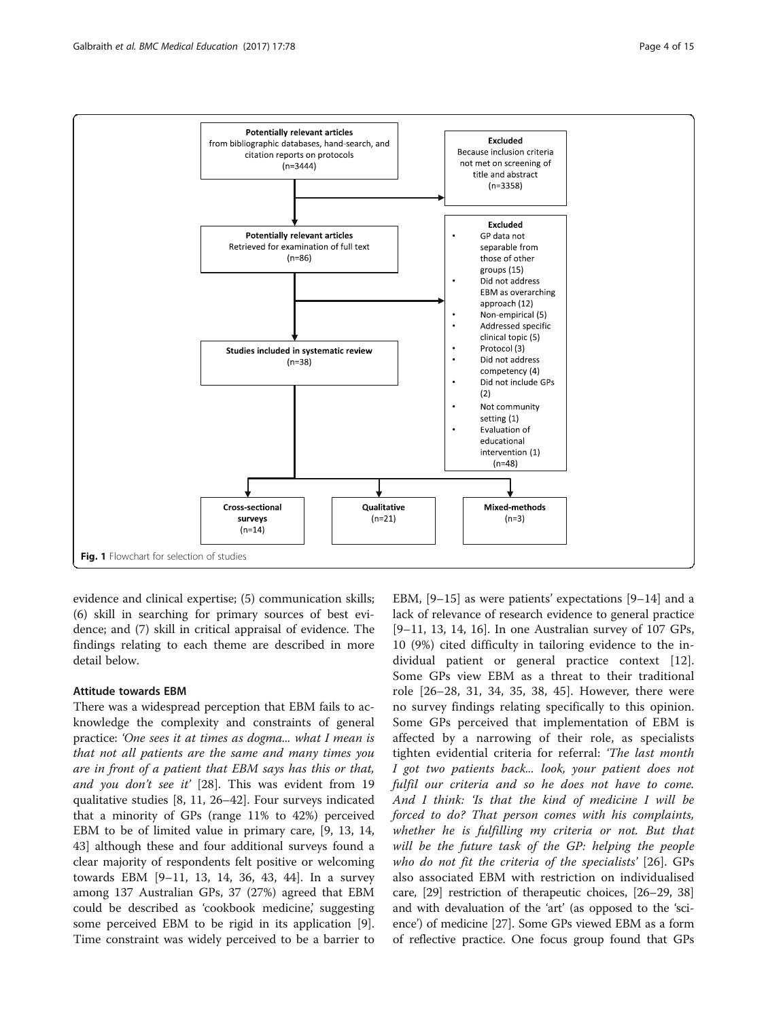<span id="page-3-0"></span>

evidence and clinical expertise; (5) communication skills; (6) skill in searching for primary sources of best evidence; and (7) skill in critical appraisal of evidence. The findings relating to each theme are described in more detail below.

### Attitude towards EBM

There was a widespread perception that EBM fails to acknowledge the complexity and constraints of general practice: 'One sees it at times as dogma... what I mean is that not all patients are the same and many times you are in front of a patient that EBM says has this or that, and you don't see it' [\[28](#page-13-0)]. This was evident from 19 qualitative studies [\[8, 11](#page-13-0), [26](#page-13-0)–[42](#page-13-0)]. Four surveys indicated that a minority of GPs (range 11% to 42%) perceived EBM to be of limited value in primary care, [\[9](#page-13-0), [13](#page-13-0), [14](#page-13-0), [43\]](#page-13-0) although these and four additional surveys found a clear majority of respondents felt positive or welcoming towards EBM [\[9](#page-13-0)–[11, 13, 14](#page-13-0), [36](#page-13-0), [43, 44\]](#page-13-0). In a survey among 137 Australian GPs, 37 (27%) agreed that EBM could be described as 'cookbook medicine,' suggesting some perceived EBM to be rigid in its application [\[9](#page-13-0)]. Time constraint was widely perceived to be a barrier to EBM, [[9](#page-13-0)–[15](#page-13-0)] as were patients' expectations [\[9](#page-13-0)–[14\]](#page-13-0) and a lack of relevance of research evidence to general practice [[9](#page-13-0)–[11, 13](#page-13-0), [14](#page-13-0), [16\]](#page-13-0). In one Australian survey of 107 GPs, 10 (9%) cited difficulty in tailoring evidence to the individual patient or general practice context [\[12](#page-13-0)]. Some GPs view EBM as a threat to their traditional role [[26](#page-13-0)–[28, 31, 34, 35](#page-13-0), [38](#page-13-0), [45](#page-13-0)]. However, there were no survey findings relating specifically to this opinion. Some GPs perceived that implementation of EBM is affected by a narrowing of their role, as specialists tighten evidential criteria for referral: 'The last month I got two patients back... look, your patient does not fulfil our criteria and so he does not have to come. And I think: 'Is that the kind of medicine I will be forced to do? That person comes with his complaints, whether he is fulfilling my criteria or not. But that will be the future task of the GP: helping the people who do not fit the criteria of the specialists' [[26](#page-13-0)]. GPs also associated EBM with restriction on individualised care, [[29](#page-13-0)] restriction of therapeutic choices, [\[26](#page-13-0)–[29](#page-13-0), [38](#page-13-0)] and with devaluation of the 'art' (as opposed to the 'science') of medicine [\[27\]](#page-13-0). Some GPs viewed EBM as a form of reflective practice. One focus group found that GPs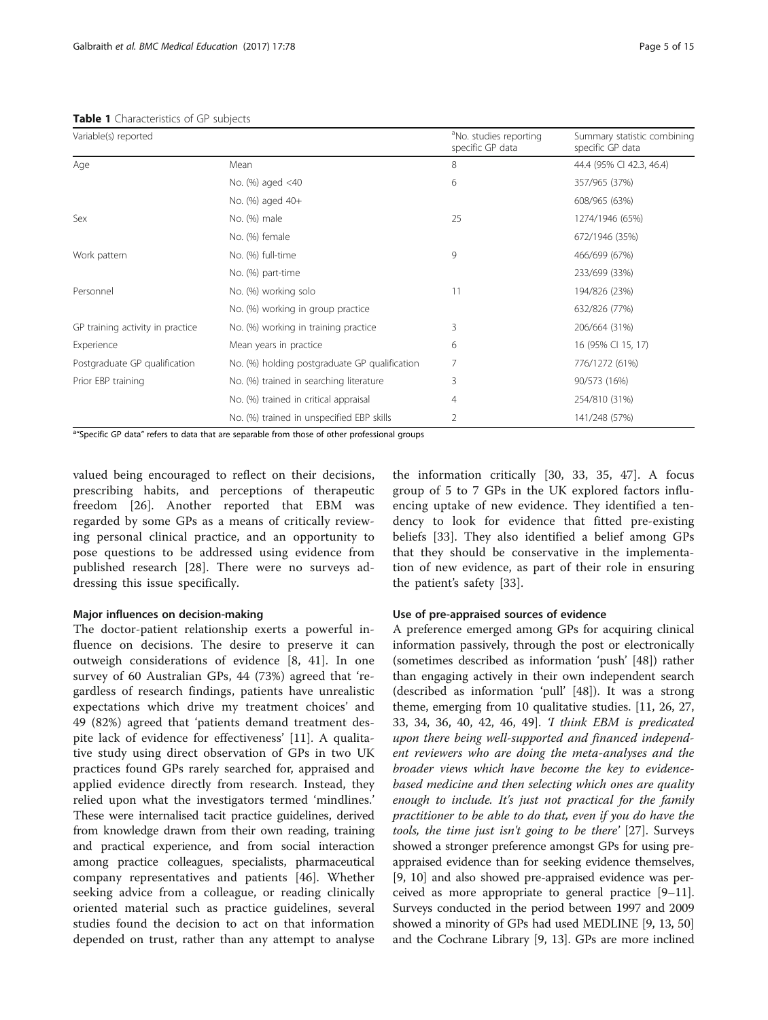#### <span id="page-4-0"></span>Table 1 Characteristics of GP subjects

| Variable(s) reported             |                                               | <sup>a</sup> No. studies reporting<br>specific GP data | Summary statistic combining<br>specific GP data |
|----------------------------------|-----------------------------------------------|--------------------------------------------------------|-------------------------------------------------|
| Age                              | Mean                                          | 8                                                      | 44.4 (95% CI 42.3, 46.4)                        |
|                                  | No. (%) aged <40                              | 6                                                      | 357/965 (37%)                                   |
|                                  | No. (%) aged 40+                              |                                                        | 608/965 (63%)                                   |
| Sex                              | No. (%) male                                  | 25                                                     | 1274/1946 (65%)                                 |
|                                  | No. (%) female                                |                                                        | 672/1946 (35%)                                  |
| Work pattern                     | No. (%) full-time                             | 9                                                      | 466/699 (67%)                                   |
|                                  | No. (%) part-time                             |                                                        | 233/699 (33%)                                   |
| Personnel                        | No. (%) working solo                          | 11                                                     | 194/826 (23%)                                   |
|                                  | No. (%) working in group practice             |                                                        | 632/826 (77%)                                   |
| GP training activity in practice | No. (%) working in training practice          | 3                                                      | 206/664 (31%)                                   |
| Experience                       | Mean years in practice                        | 6                                                      | 16 (95% CI 15, 17)                              |
| Postgraduate GP qualification    | No. (%) holding postgraduate GP qualification |                                                        | 776/1272 (61%)                                  |
| Prior EBP training               | No. (%) trained in searching literature       | 3                                                      | 90/573 (16%)                                    |
|                                  | No. (%) trained in critical appraisal         | 4                                                      | 254/810 (31%)                                   |
|                                  |                                               |                                                        |                                                 |

No. (%) trained in unspecified EBP skills 2 141/248 (57%)

a"Specific GP data" refers to data that are separable from those of other professional groups

valued being encouraged to reflect on their decisions, prescribing habits, and perceptions of therapeutic freedom [[26](#page-13-0)]. Another reported that EBM was regarded by some GPs as a means of critically reviewing personal clinical practice, and an opportunity to pose questions to be addressed using evidence from published research [[28\]](#page-13-0). There were no surveys addressing this issue specifically.

#### Major influences on decision-making

The doctor-patient relationship exerts a powerful influence on decisions. The desire to preserve it can outweigh considerations of evidence [\[8](#page-13-0), [41](#page-13-0)]. In one survey of 60 Australian GPs, 44 (73%) agreed that 'regardless of research findings, patients have unrealistic expectations which drive my treatment choices' and 49 (82%) agreed that 'patients demand treatment despite lack of evidence for effectiveness' [[11\]](#page-13-0). A qualitative study using direct observation of GPs in two UK practices found GPs rarely searched for, appraised and applied evidence directly from research. Instead, they relied upon what the investigators termed 'mindlines.' These were internalised tacit practice guidelines, derived from knowledge drawn from their own reading, training and practical experience, and from social interaction among practice colleagues, specialists, pharmaceutical company representatives and patients [\[46](#page-13-0)]. Whether seeking advice from a colleague, or reading clinically oriented material such as practice guidelines, several studies found the decision to act on that information depended on trust, rather than any attempt to analyse the information critically [\[30](#page-13-0), [33](#page-13-0), [35, 47](#page-13-0)]. A focus group of 5 to 7 GPs in the UK explored factors influencing uptake of new evidence. They identified a tendency to look for evidence that fitted pre-existing beliefs [\[33](#page-13-0)]. They also identified a belief among GPs that they should be conservative in the implementation of new evidence, as part of their role in ensuring the patient's safety [[33\]](#page-13-0).

### Use of pre-appraised sources of evidence

A preference emerged among GPs for acquiring clinical information passively, through the post or electronically (sometimes described as information 'push' [[48\]](#page-13-0)) rather than engaging actively in their own independent search (described as information 'pull' [\[48\]](#page-13-0)). It was a strong theme, emerging from 10 qualitative studies. [[11, 26](#page-13-0), [27](#page-13-0), [33, 34](#page-13-0), [36, 40, 42](#page-13-0), [46,](#page-13-0) [49](#page-14-0)]. 'I think EBM is predicated upon there being well-supported and financed independent reviewers who are doing the meta-analyses and the broader views which have become the key to evidencebased medicine and then selecting which ones are quality enough to include. It's just not practical for the family practitioner to be able to do that, even if you do have the tools, the time just isn't going to be there' [[27\]](#page-13-0). Surveys showed a stronger preference amongst GPs for using preappraised evidence than for seeking evidence themselves, [[9, 10](#page-13-0)] and also showed pre-appraised evidence was perceived as more appropriate to general practice [\[9](#page-13-0)–[11](#page-13-0)]. Surveys conducted in the period between 1997 and 2009 showed a minority of GPs had used MEDLINE [\[9, 13,](#page-13-0) [50](#page-14-0)] and the Cochrane Library [\[9](#page-13-0), [13](#page-13-0)]. GPs are more inclined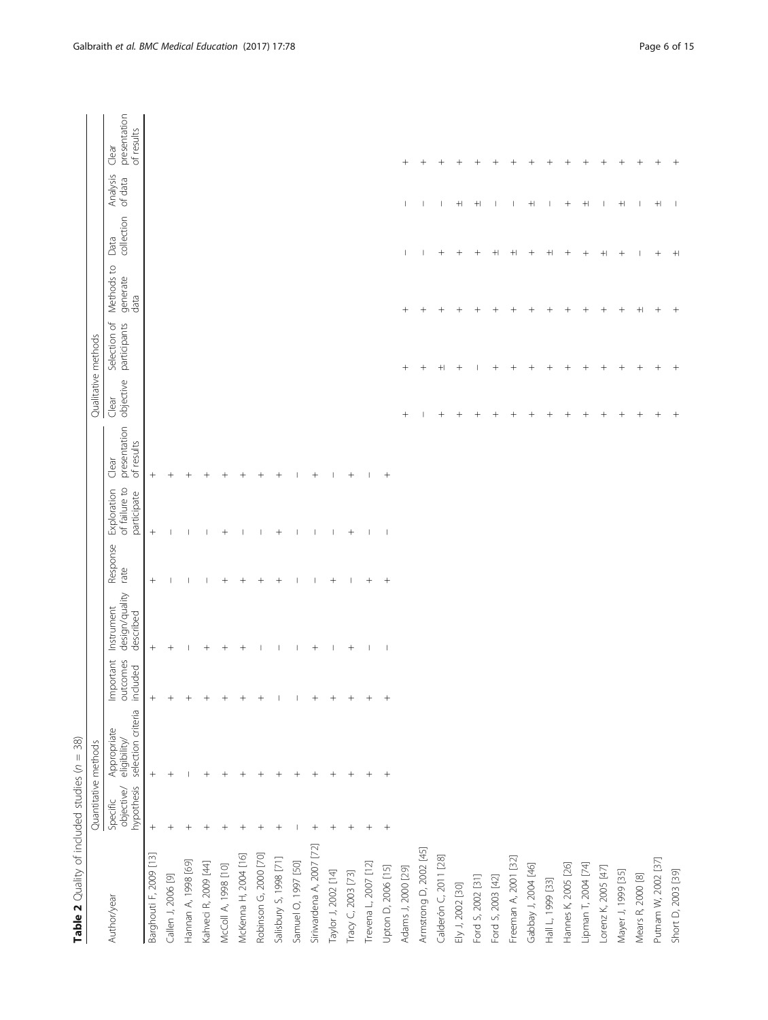<span id="page-5-0"></span>

| Table 2 Quality of included studies ( $n = 38$ ) |                                      |                                                   |                                   |                                           |                          |                                             |                                     |                                  |                                  |                                  |                    |                          |                                     |
|--------------------------------------------------|--------------------------------------|---------------------------------------------------|-----------------------------------|-------------------------------------------|--------------------------|---------------------------------------------|-------------------------------------|----------------------------------|----------------------------------|----------------------------------|--------------------|--------------------------|-------------------------------------|
|                                                  | Quantitative methods                 |                                                   |                                   |                                           |                          |                                             |                                     |                                  | Qualitative methods              |                                  |                    |                          |                                     |
| Author/year                                      | hypothesis<br>objective/<br>Specific | selection criteria<br>Appropriate<br>eligibility/ | Important<br>outcomes<br>included | design/quality<br>Instrument<br>described | Response<br>rate         | of failure to<br>Exploration<br>participate | presentation<br>of results<br>Clear | objective<br>$C$ lear            | Selection of<br>participants     | Methods to<br>generate<br>data   | collection<br>Data | Analysis<br>of data      | presentation<br>of results<br>Clear |
| Barghouti F, 2009 [13]                           | $^{+}$                               | $\! + \!\!\!\!$                                   | $^{+}$                            | $^{+}$                                    | $^{+}$                   | $^{+}$                                      | $^{+}$                              |                                  |                                  |                                  |                    |                          |                                     |
| Callen J, 2006 [9]                               | $^{+}$                               |                                                   |                                   | $^{+}$                                    |                          |                                             | $\hspace{0.1mm} +\hspace{0.1mm}$    |                                  |                                  |                                  |                    |                          |                                     |
| Hannan A, 1998 [69]                              |                                      |                                                   |                                   |                                           |                          |                                             | $^{+}$                              |                                  |                                  |                                  |                    |                          |                                     |
| Kahveci R, 2009 [44]                             | $\hspace{0.1mm} +$                   |                                                   |                                   |                                           | I                        | ı                                           | $^{+}$                              |                                  |                                  |                                  |                    |                          |                                     |
| McColl A, 1998 [10]                              | $^+$                                 |                                                   |                                   | $^{+}$                                    | $^{+}$                   | $^{+}$                                      | $^{+}$                              |                                  |                                  |                                  |                    |                          |                                     |
| McKenna H, 2004 [16]                             | $^{+}$                               |                                                   |                                   | $\hspace{0.1mm} +$                        | $^{+}$                   |                                             | $^{+}$                              |                                  |                                  |                                  |                    |                          |                                     |
| Robinson G, 2000 [70]                            |                                      |                                                   |                                   |                                           | $^{+}$                   |                                             | $\,{}^{+}\,$                        |                                  |                                  |                                  |                    |                          |                                     |
| Salisbury S, 1998 [71]                           |                                      |                                                   |                                   |                                           | $^{+}$                   | $^+$                                        | $\hspace{0.1mm} +\hspace{0.1mm}$    |                                  |                                  |                                  |                    |                          |                                     |
| Samuel O, 1997 [50]                              |                                      |                                                   |                                   |                                           | I                        | п                                           | П                                   |                                  |                                  |                                  |                    |                          |                                     |
| Siriwardena A, 2007 [72]                         | $\hspace{0.1mm} +$                   |                                                   |                                   | $^{+}$                                    | $\overline{\phantom{a}}$ |                                             | $^{+}$                              |                                  |                                  |                                  |                    |                          |                                     |
| Taylor J, 2002 [14]                              | $^{+}$                               |                                                   |                                   |                                           | $^{+}$                   |                                             | $\mathbf{I}$                        |                                  |                                  |                                  |                    |                          |                                     |
| Tracy C, 2003 [73]                               |                                      |                                                   |                                   | $^{+}$                                    |                          | $^{+}$                                      | $\hspace{0.1mm} +$                  |                                  |                                  |                                  |                    |                          |                                     |
| Trevena L, 2007 [12]                             | $^{+}$                               |                                                   |                                   | ш                                         | $^{+}$                   | ш                                           | т.                                  |                                  |                                  |                                  |                    |                          |                                     |
| Upton D, 2006 [15]                               | $^{+}$                               |                                                   |                                   | $\overline{\phantom{a}}$                  | $^{+}$                   | $\overline{\phantom{a}}$                    | $^{+}$                              |                                  |                                  |                                  |                    |                          |                                     |
| Adams J, 2000 [29]                               |                                      |                                                   |                                   |                                           |                          |                                             |                                     | $^{+}$                           | $^{+}$                           | $^{+}$                           | I                  | T                        | $^{+}$                              |
| Armstrong D, 2002 [45]                           |                                      |                                                   |                                   |                                           |                          |                                             |                                     |                                  | $^{+}$                           | $^{+}$                           |                    | $\overline{\phantom{a}}$ |                                     |
| Calderón C, 2011 [28]                            |                                      |                                                   |                                   |                                           |                          |                                             |                                     | $^{+}$                           | $^{+}$                           | $^{+}$                           | $^{+}$             |                          | $^{+}$                              |
| Ely J, 2002 [30]                                 |                                      |                                                   |                                   |                                           |                          |                                             |                                     | $\hspace{0.1mm} +\hspace{0.1mm}$ | $\hspace{0.1mm} +\hspace{0.1mm}$ | $\hspace{0.1mm} +\hspace{0.1mm}$ | $^{+}$             | $+$                      | $^{+}$                              |
| Ford S, 2002 [31]                                |                                      |                                                   |                                   |                                           |                          |                                             |                                     | $^{+}$                           | $\overline{\phantom{a}}$         | $^{+}$                           | $^{+}$             | $+$                      | $^{+}$                              |
| Ford S, 2003 [42]                                |                                      |                                                   |                                   |                                           |                          |                                             |                                     | $^{+}$                           | $\hspace{0.1mm} +$               | $^{+}$                           | $+1$               | $\mathbf{I}$             | $^{+}$                              |
| Freeman A, 2001 [32]                             |                                      |                                                   |                                   |                                           |                          |                                             |                                     | $\hspace{0.1mm} +\hspace{0.1mm}$ | $\hspace{0.1mm} +\hspace{0.1mm}$ | $^{+}$                           | $\pm$              | T                        | $^{+}$                              |
| Gabbay J, 2004 [46]                              |                                      |                                                   |                                   |                                           |                          |                                             |                                     | $^+$                             |                                  | $^+$                             | $^+$               | $+$                      | $^{+}$                              |
| Hall L, 1999 [33]                                |                                      |                                                   |                                   |                                           |                          |                                             |                                     | $^+$                             | $\hspace{0.1mm} +\hspace{0.1mm}$ | $\hspace{0.1mm} +$               | $+$                | $\mathbf{I}$             | $^+$                                |
| Hannes K, 2005 [26]                              |                                      |                                                   |                                   |                                           |                          |                                             |                                     | $^{+}$                           | $^{+}$                           | $^+$                             | $^{+}$             | $^{+}$                   | $^{+}$                              |
| Lipman T, 2004 [74]                              |                                      |                                                   |                                   |                                           |                          |                                             |                                     | $^{+}$                           | $^+$                             | $^{+}$                           | $^{+}$             | $+1$                     | $^{+}$                              |
| Lorenz K, 2005 [47]                              |                                      |                                                   |                                   |                                           |                          |                                             |                                     | $^{+}$                           | $^{+}$                           | $^{+}$                           | $^{+}$             | H                        | $^{+}$                              |
| Mayer J, 1999 [35]                               |                                      |                                                   |                                   |                                           |                          |                                             |                                     | $^+$                             | $\hspace{0.1mm} +\hspace{0.1mm}$ | $\hspace{0.1mm} +$               | $^{+}$             | $+$                      | $^{+}$                              |
| Mears R, 2000 [8]                                |                                      |                                                   |                                   |                                           |                          |                                             |                                     | $^+$                             | $^+$                             | $+$                              | $\perp$            | $\mathbf{I}$             | $\! + \!\!\!\!$                     |
| Putnam W, 2002 [37]                              |                                      |                                                   |                                   |                                           |                          |                                             |                                     | $^{+}$                           | $\hspace{0.1mm} +$               |                                  | $^{+}$             | $+$                      | $^{+}$                              |
| Short D, 2003 [39]                               |                                      |                                                   |                                   |                                           |                          |                                             |                                     |                                  |                                  |                                  | $+1$               | -1                       |                                     |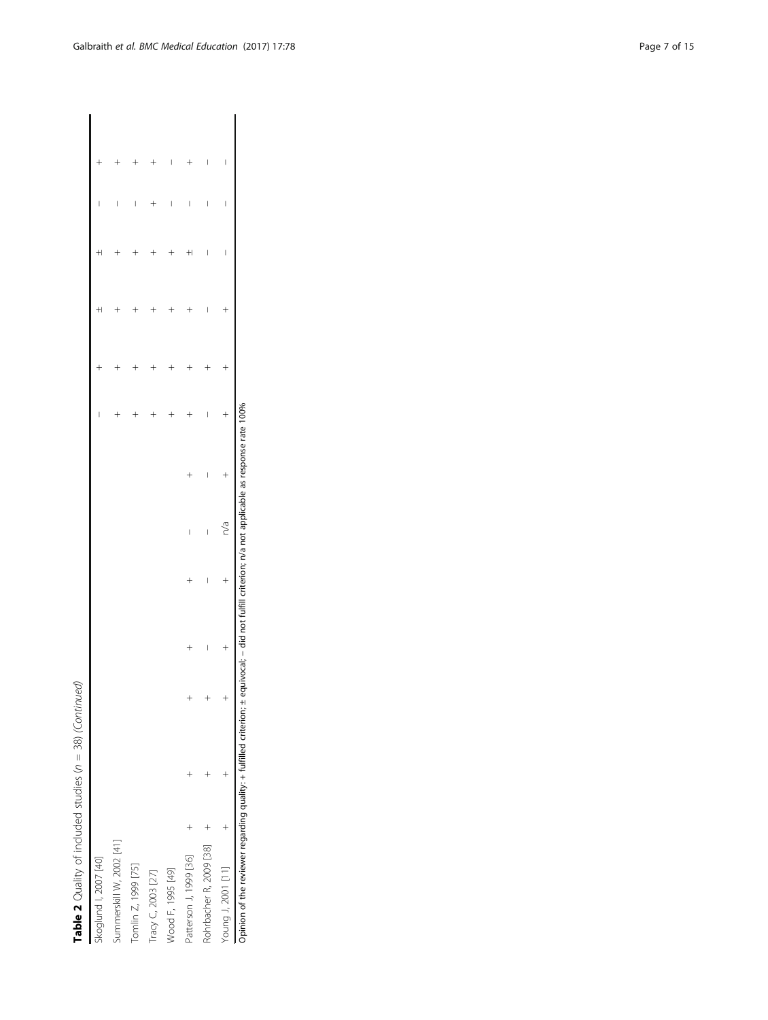| ι                |
|------------------|
| )<br>،<br>ا      |
| I<br>S           |
| ١<br>١<br>ł      |
| i<br>l<br>j<br>ļ |
| j<br>I           |
|                  |
|                  |
| l                |

| Skoglund I, 2007 [40]     |  |            |   |                          |   | $\overline{\phantom{a}}$ |   |   | I |   |
|---------------------------|--|------------|---|--------------------------|---|--------------------------|---|---|---|---|
| Summerskill W, 2002 [41]  |  |            |   |                          |   |                          |   |   | Ī |   |
| Tomlin Z, 1999 [75]       |  |            |   |                          |   |                          |   |   | Ī |   |
| Tracy C, 2003 [27]        |  |            |   |                          |   |                          |   |   |   |   |
| Wood F, 1995 [49]         |  |            |   |                          |   |                          |   |   | Ī | ī |
| Patterson J, 1999 [36]    |  |            |   | $\overline{\phantom{a}}$ |   |                          |   | H | I |   |
| Rohrbacher R, 2009 [38] + |  |            | I | I                        | I |                          | I | I | I | Í |
| Young J, 2001 [11]        |  |            |   |                          |   |                          |   | I | I | I |
|                           |  | $\ddot{a}$ |   | .<br>.<br>.              |   |                          |   |   |   |   |

Opinion of the reviewer regarding quality: + fulfilled criterion; ± equivocal; - did not fulfill criterion; n/a not applicable as response rate 100% Opinion of the reviewer regarding quality: + fulfilled criterion; ± equivocal; − did not fulfill criterion; n/a not applicable as response rate 100%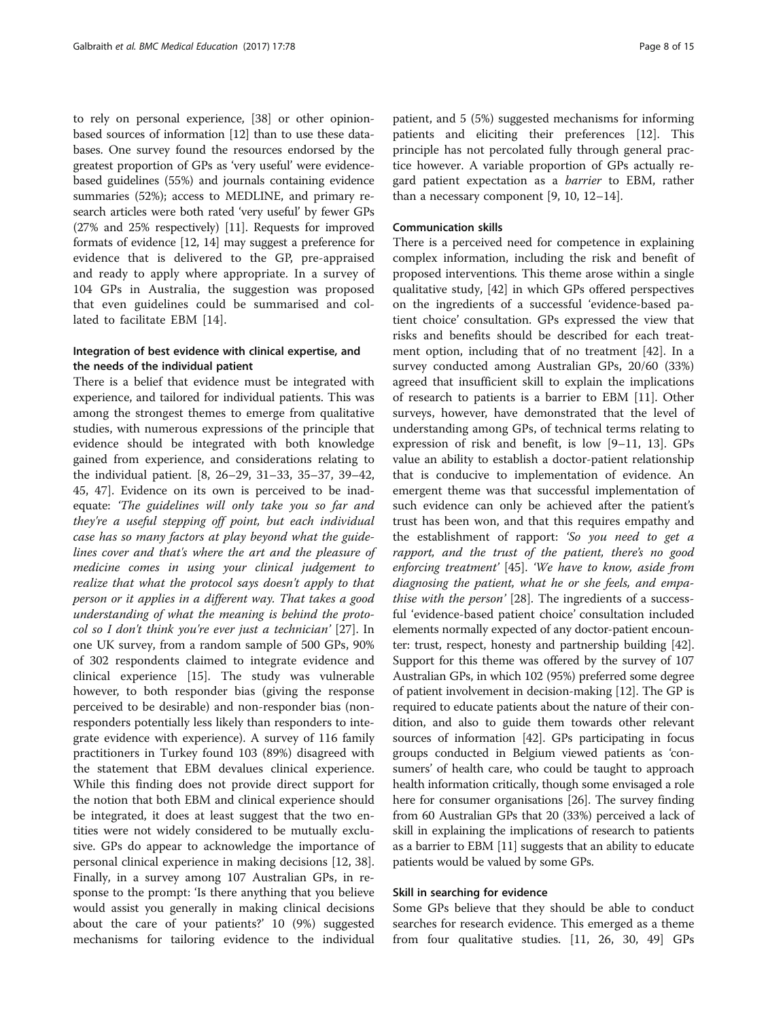to rely on personal experience, [[38](#page-13-0)] or other opinionbased sources of information [[12](#page-13-0)] than to use these databases. One survey found the resources endorsed by the greatest proportion of GPs as 'very useful' were evidencebased guidelines (55%) and journals containing evidence summaries (52%); access to MEDLINE, and primary research articles were both rated 'very useful' by fewer GPs (27% and 25% respectively) [[11](#page-13-0)]. Requests for improved formats of evidence [[12](#page-13-0), [14](#page-13-0)] may suggest a preference for evidence that is delivered to the GP, pre-appraised and ready to apply where appropriate. In a survey of 104 GPs in Australia, the suggestion was proposed that even guidelines could be summarised and collated to facilitate EBM [\[14](#page-13-0)].

### Integration of best evidence with clinical expertise, and the needs of the individual patient

There is a belief that evidence must be integrated with experience, and tailored for individual patients. This was among the strongest themes to emerge from qualitative studies, with numerous expressions of the principle that evidence should be integrated with both knowledge gained from experience, and considerations relating to the individual patient. [\[8, 26](#page-13-0)–[29, 31](#page-13-0)–[33, 35](#page-13-0)–[37, 39](#page-13-0)–[42](#page-13-0), [45, 47](#page-13-0)]. Evidence on its own is perceived to be inadequate: 'The guidelines will only take you so far and they're a useful stepping off point, but each individual case has so many factors at play beyond what the guidelines cover and that's where the art and the pleasure of medicine comes in using your clinical judgement to realize that what the protocol says doesn't apply to that person or it applies in a different way. That takes a good understanding of what the meaning is behind the protocol so I don't think you're ever just a technician' [\[27\]](#page-13-0). In one UK survey, from a random sample of 500 GPs, 90% of 302 respondents claimed to integrate evidence and clinical experience [\[15\]](#page-13-0). The study was vulnerable however, to both responder bias (giving the response perceived to be desirable) and non-responder bias (nonresponders potentially less likely than responders to integrate evidence with experience). A survey of 116 family practitioners in Turkey found 103 (89%) disagreed with the statement that EBM devalues clinical experience. While this finding does not provide direct support for the notion that both EBM and clinical experience should be integrated, it does at least suggest that the two entities were not widely considered to be mutually exclusive. GPs do appear to acknowledge the importance of personal clinical experience in making decisions [\[12](#page-13-0), [38](#page-13-0)]. Finally, in a survey among 107 Australian GPs, in response to the prompt: 'Is there anything that you believe would assist you generally in making clinical decisions about the care of your patients?' 10 (9%) suggested mechanisms for tailoring evidence to the individual

patient, and 5 (5%) suggested mechanisms for informing patients and eliciting their preferences [[12](#page-13-0)]. This principle has not percolated fully through general practice however. A variable proportion of GPs actually regard patient expectation as a barrier to EBM, rather than a necessary component [[9](#page-13-0), [10](#page-13-0), [12](#page-13-0)–[14\]](#page-13-0).

#### Communication skills

There is a perceived need for competence in explaining complex information, including the risk and benefit of proposed interventions. This theme arose within a single qualitative study, [\[42\]](#page-13-0) in which GPs offered perspectives on the ingredients of a successful 'evidence-based patient choice' consultation. GPs expressed the view that risks and benefits should be described for each treatment option, including that of no treatment [[42](#page-13-0)]. In a survey conducted among Australian GPs, 20/60 (33%) agreed that insufficient skill to explain the implications of research to patients is a barrier to EBM [\[11\]](#page-13-0). Other surveys, however, have demonstrated that the level of understanding among GPs, of technical terms relating to expression of risk and benefit, is low [\[9](#page-13-0)–[11](#page-13-0), [13\]](#page-13-0). GPs value an ability to establish a doctor-patient relationship that is conducive to implementation of evidence. An emergent theme was that successful implementation of such evidence can only be achieved after the patient's trust has been won, and that this requires empathy and the establishment of rapport: 'So you need to get a rapport, and the trust of the patient, there's no good enforcing treatment' [\[45](#page-13-0)]. 'We have to know, aside from diagnosing the patient, what he or she feels, and empathise with the person' [[28\]](#page-13-0). The ingredients of a successful 'evidence-based patient choice' consultation included elements normally expected of any doctor-patient encounter: trust, respect, honesty and partnership building [[42](#page-13-0)]. Support for this theme was offered by the survey of 107 Australian GPs, in which 102 (95%) preferred some degree of patient involvement in decision-making [[12](#page-13-0)]. The GP is required to educate patients about the nature of their condition, and also to guide them towards other relevant sources of information [\[42\]](#page-13-0). GPs participating in focus groups conducted in Belgium viewed patients as 'consumers' of health care, who could be taught to approach health information critically, though some envisaged a role here for consumer organisations [\[26\]](#page-13-0). The survey finding from 60 Australian GPs that 20 (33%) perceived a lack of skill in explaining the implications of research to patients as a barrier to EBM [[11](#page-13-0)] suggests that an ability to educate patients would be valued by some GPs.

#### Skill in searching for evidence

Some GPs believe that they should be able to conduct searches for research evidence. This emerged as a theme from four qualitative studies. [\[11](#page-13-0), [26](#page-13-0), [30](#page-13-0), [49\]](#page-14-0) GPs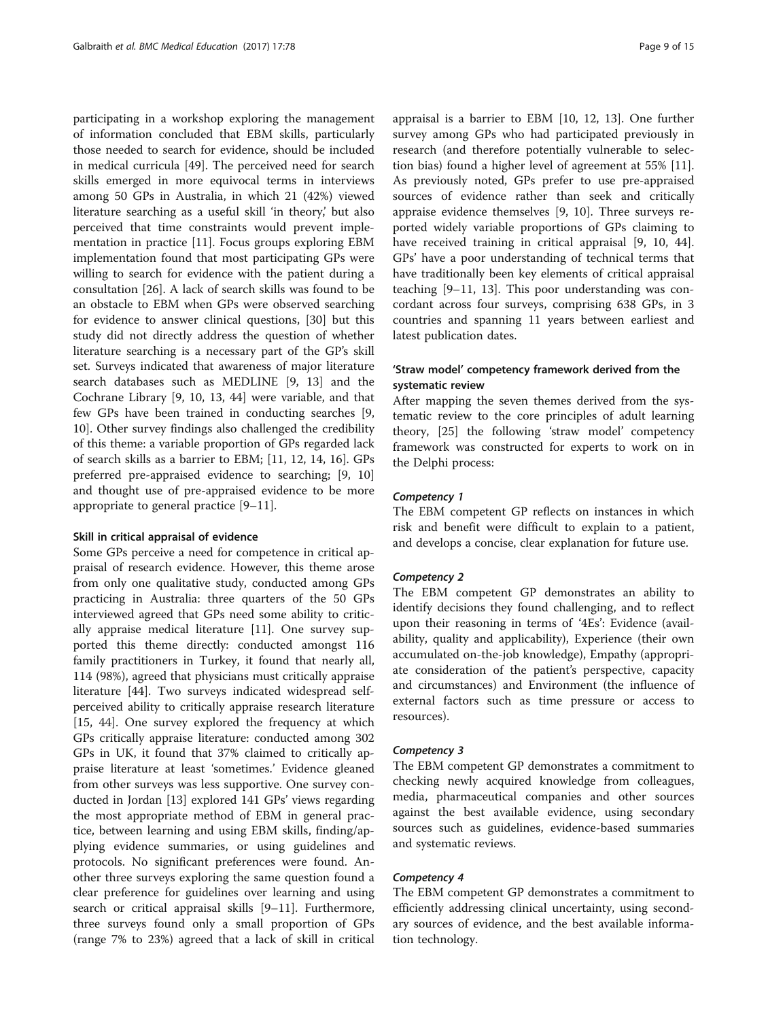participating in a workshop exploring the management of information concluded that EBM skills, particularly those needed to search for evidence, should be included in medical curricula [\[49\]](#page-14-0). The perceived need for search skills emerged in more equivocal terms in interviews among 50 GPs in Australia, in which 21 (42%) viewed literature searching as a useful skill 'in theory,' but also perceived that time constraints would prevent implementation in practice [[11\]](#page-13-0). Focus groups exploring EBM implementation found that most participating GPs were willing to search for evidence with the patient during a consultation [\[26](#page-13-0)]. A lack of search skills was found to be an obstacle to EBM when GPs were observed searching for evidence to answer clinical questions, [\[30](#page-13-0)] but this study did not directly address the question of whether literature searching is a necessary part of the GP's skill set. Surveys indicated that awareness of major literature search databases such as MEDLINE [[9, 13\]](#page-13-0) and the Cochrane Library [\[9, 10, 13](#page-13-0), [44](#page-13-0)] were variable, and that few GPs have been trained in conducting searches [\[9](#page-13-0), [10\]](#page-13-0). Other survey findings also challenged the credibility of this theme: a variable proportion of GPs regarded lack of search skills as a barrier to EBM; [\[11](#page-13-0), [12](#page-13-0), [14](#page-13-0), [16\]](#page-13-0). GPs preferred pre-appraised evidence to searching; [\[9, 10](#page-13-0)] and thought use of pre-appraised evidence to be more appropriate to general practice [[9](#page-13-0)–[11](#page-13-0)].

#### Skill in critical appraisal of evidence

Some GPs perceive a need for competence in critical appraisal of research evidence. However, this theme arose from only one qualitative study, conducted among GPs practicing in Australia: three quarters of the 50 GPs interviewed agreed that GPs need some ability to critically appraise medical literature [[11](#page-13-0)]. One survey supported this theme directly: conducted amongst 116 family practitioners in Turkey, it found that nearly all, 114 (98%), agreed that physicians must critically appraise literature [\[44\]](#page-13-0). Two surveys indicated widespread selfperceived ability to critically appraise research literature [[15, 44\]](#page-13-0). One survey explored the frequency at which GPs critically appraise literature: conducted among 302 GPs in UK, it found that 37% claimed to critically appraise literature at least 'sometimes.' Evidence gleaned from other surveys was less supportive. One survey conducted in Jordan [\[13\]](#page-13-0) explored 141 GPs' views regarding the most appropriate method of EBM in general practice, between learning and using EBM skills, finding/applying evidence summaries, or using guidelines and protocols. No significant preferences were found. Another three surveys exploring the same question found a clear preference for guidelines over learning and using search or critical appraisal skills [\[9](#page-13-0)–[11\]](#page-13-0). Furthermore, three surveys found only a small proportion of GPs (range 7% to 23%) agreed that a lack of skill in critical

appraisal is a barrier to EBM [[10](#page-13-0), [12, 13\]](#page-13-0). One further survey among GPs who had participated previously in research (and therefore potentially vulnerable to selection bias) found a higher level of agreement at 55% [\[11](#page-13-0)]. As previously noted, GPs prefer to use pre-appraised sources of evidence rather than seek and critically appraise evidence themselves [[9, 10\]](#page-13-0). Three surveys reported widely variable proportions of GPs claiming to have received training in critical appraisal [\[9](#page-13-0), [10](#page-13-0), [44](#page-13-0)]. GPs' have a poor understanding of technical terms that have traditionally been key elements of critical appraisal teaching [\[9](#page-13-0)–[11](#page-13-0), [13](#page-13-0)]. This poor understanding was concordant across four surveys, comprising 638 GPs, in 3 countries and spanning 11 years between earliest and latest publication dates.

### 'Straw model' competency framework derived from the systematic review

After mapping the seven themes derived from the systematic review to the core principles of adult learning theory, [[25\]](#page-13-0) the following 'straw model' competency framework was constructed for experts to work on in the Delphi process:

#### Competency 1

The EBM competent GP reflects on instances in which risk and benefit were difficult to explain to a patient, and develops a concise, clear explanation for future use.

#### Competency 2

The EBM competent GP demonstrates an ability to identify decisions they found challenging, and to reflect upon their reasoning in terms of '4Es': Evidence (availability, quality and applicability), Experience (their own accumulated on-the-job knowledge), Empathy (appropriate consideration of the patient's perspective, capacity and circumstances) and Environment (the influence of external factors such as time pressure or access to resources).

### Competency 3

The EBM competent GP demonstrates a commitment to checking newly acquired knowledge from colleagues, media, pharmaceutical companies and other sources against the best available evidence, using secondary sources such as guidelines, evidence-based summaries and systematic reviews.

### Competency 4

The EBM competent GP demonstrates a commitment to efficiently addressing clinical uncertainty, using secondary sources of evidence, and the best available information technology.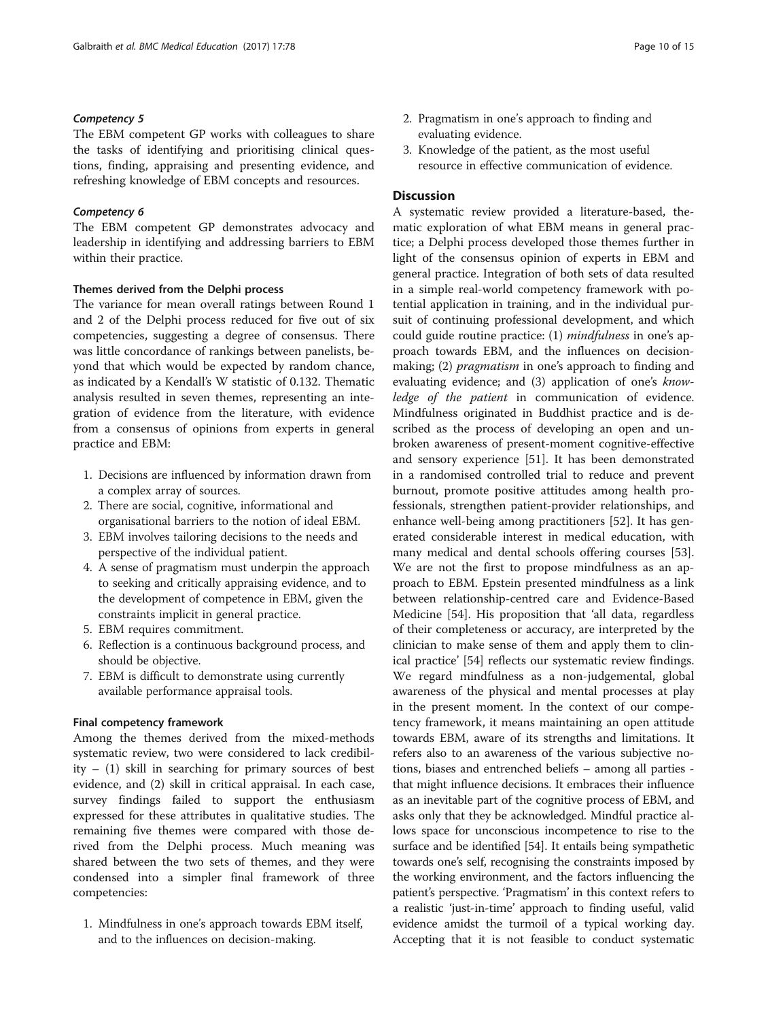### Competency 5

The EBM competent GP works with colleagues to share the tasks of identifying and prioritising clinical questions, finding, appraising and presenting evidence, and refreshing knowledge of EBM concepts and resources.

### Competency 6

The EBM competent GP demonstrates advocacy and leadership in identifying and addressing barriers to EBM within their practice.

### Themes derived from the Delphi process

The variance for mean overall ratings between Round 1 and 2 of the Delphi process reduced for five out of six competencies, suggesting a degree of consensus. There was little concordance of rankings between panelists, beyond that which would be expected by random chance, as indicated by a Kendall's W statistic of 0.132. Thematic analysis resulted in seven themes, representing an integration of evidence from the literature, with evidence from a consensus of opinions from experts in general practice and EBM:

- 1. Decisions are influenced by information drawn from a complex array of sources.
- 2. There are social, cognitive, informational and organisational barriers to the notion of ideal EBM.
- 3. EBM involves tailoring decisions to the needs and perspective of the individual patient.
- 4. A sense of pragmatism must underpin the approach to seeking and critically appraising evidence, and to the development of competence in EBM, given the constraints implicit in general practice.
- 5. EBM requires commitment.
- 6. Reflection is a continuous background process, and should be objective.
- 7. EBM is difficult to demonstrate using currently available performance appraisal tools.

#### Final competency framework

Among the themes derived from the mixed-methods systematic review, two were considered to lack credibility – (1) skill in searching for primary sources of best evidence, and (2) skill in critical appraisal. In each case, survey findings failed to support the enthusiasm expressed for these attributes in qualitative studies. The remaining five themes were compared with those derived from the Delphi process. Much meaning was shared between the two sets of themes, and they were condensed into a simpler final framework of three competencies:

1. Mindfulness in one's approach towards EBM itself, and to the influences on decision-making.

- 2. Pragmatism in one's approach to finding and evaluating evidence.
- 3. Knowledge of the patient, as the most useful resource in effective communication of evidence.

### **Discussion**

A systematic review provided a literature-based, thematic exploration of what EBM means in general practice; a Delphi process developed those themes further in light of the consensus opinion of experts in EBM and general practice. Integration of both sets of data resulted in a simple real-world competency framework with potential application in training, and in the individual pursuit of continuing professional development, and which could guide routine practice: (1) *mindfulness* in one's approach towards EBM, and the influences on decisionmaking; (2) *pragmatism* in one's approach to finding and evaluating evidence; and (3) application of one's knowledge of the patient in communication of evidence. Mindfulness originated in Buddhist practice and is described as the process of developing an open and unbroken awareness of present-moment cognitive-effective and sensory experience [\[51](#page-14-0)]. It has been demonstrated in a randomised controlled trial to reduce and prevent burnout, promote positive attitudes among health professionals, strengthen patient-provider relationships, and enhance well-being among practitioners [[52\]](#page-14-0). It has generated considerable interest in medical education, with many medical and dental schools offering courses [\[53](#page-14-0)]. We are not the first to propose mindfulness as an approach to EBM. Epstein presented mindfulness as a link between relationship-centred care and Evidence-Based Medicine [\[54\]](#page-14-0). His proposition that 'all data, regardless of their completeness or accuracy, are interpreted by the clinician to make sense of them and apply them to clinical practice' [\[54](#page-14-0)] reflects our systematic review findings. We regard mindfulness as a non-judgemental, global awareness of the physical and mental processes at play in the present moment. In the context of our competency framework, it means maintaining an open attitude towards EBM, aware of its strengths and limitations. It refers also to an awareness of the various subjective notions, biases and entrenched beliefs – among all parties that might influence decisions. It embraces their influence as an inevitable part of the cognitive process of EBM, and asks only that they be acknowledged. Mindful practice allows space for unconscious incompetence to rise to the surface and be identified [[54](#page-14-0)]. It entails being sympathetic towards one's self, recognising the constraints imposed by the working environment, and the factors influencing the patient's perspective. 'Pragmatism' in this context refers to a realistic 'just-in-time' approach to finding useful, valid evidence amidst the turmoil of a typical working day. Accepting that it is not feasible to conduct systematic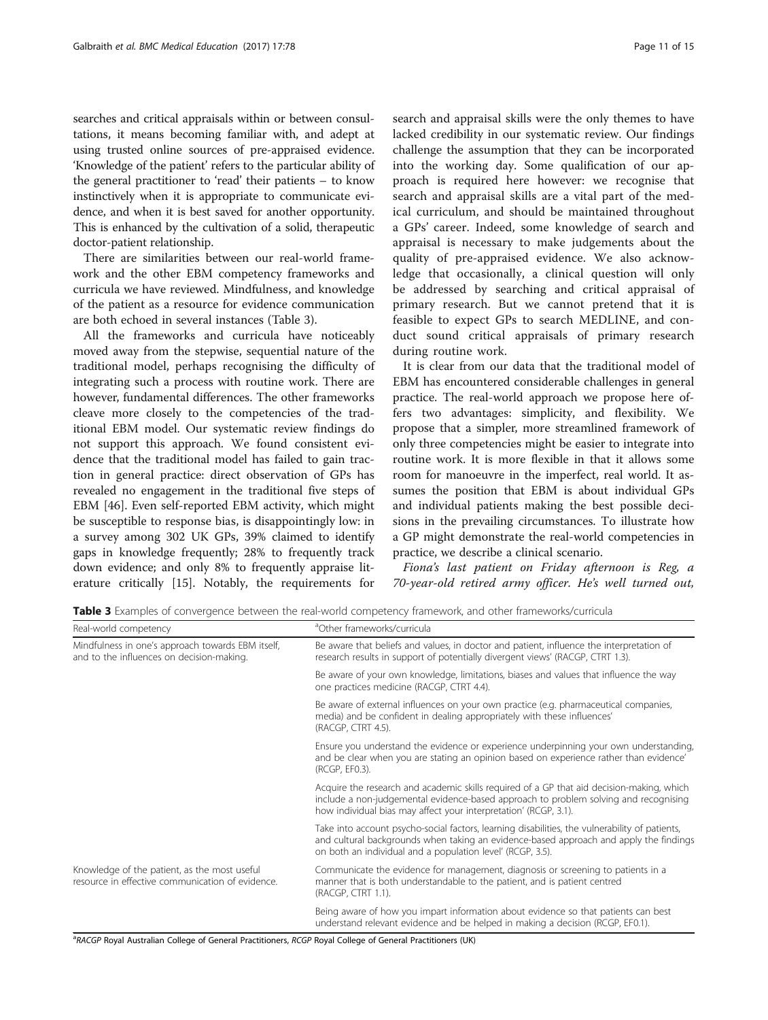searches and critical appraisals within or between consultations, it means becoming familiar with, and adept at using trusted online sources of pre-appraised evidence. 'Knowledge of the patient' refers to the particular ability of the general practitioner to 'read' their patients – to know instinctively when it is appropriate to communicate evidence, and when it is best saved for another opportunity. This is enhanced by the cultivation of a solid, therapeutic doctor-patient relationship.

There are similarities between our real-world framework and the other EBM competency frameworks and curricula we have reviewed. Mindfulness, and knowledge of the patient as a resource for evidence communication are both echoed in several instances (Table 3).

All the frameworks and curricula have noticeably moved away from the stepwise, sequential nature of the traditional model, perhaps recognising the difficulty of integrating such a process with routine work. There are however, fundamental differences. The other frameworks cleave more closely to the competencies of the traditional EBM model. Our systematic review findings do not support this approach. We found consistent evidence that the traditional model has failed to gain traction in general practice: direct observation of GPs has revealed no engagement in the traditional five steps of EBM [[46](#page-13-0)]. Even self-reported EBM activity, which might be susceptible to response bias, is disappointingly low: in a survey among 302 UK GPs, 39% claimed to identify gaps in knowledge frequently; 28% to frequently track down evidence; and only 8% to frequently appraise literature critically [[15](#page-13-0)]. Notably, the requirements for

search and appraisal skills were the only themes to have lacked credibility in our systematic review. Our findings challenge the assumption that they can be incorporated into the working day. Some qualification of our approach is required here however: we recognise that search and appraisal skills are a vital part of the medical curriculum, and should be maintained throughout a GPs' career. Indeed, some knowledge of search and appraisal is necessary to make judgements about the quality of pre-appraised evidence. We also acknowledge that occasionally, a clinical question will only be addressed by searching and critical appraisal of primary research. But we cannot pretend that it is feasible to expect GPs to search MEDLINE, and conduct sound critical appraisals of primary research during routine work.

It is clear from our data that the traditional model of EBM has encountered considerable challenges in general practice. The real-world approach we propose here offers two advantages: simplicity, and flexibility. We propose that a simpler, more streamlined framework of only three competencies might be easier to integrate into routine work. It is more flexible in that it allows some room for manoeuvre in the imperfect, real world. It assumes the position that EBM is about individual GPs and individual patients making the best possible decisions in the prevailing circumstances. To illustrate how a GP might demonstrate the real-world competencies in practice, we describe a clinical scenario.

Fiona's last patient on Friday afternoon is Reg, a 70-year-old retired army officer. He's well turned out,

Table 3 Examples of convergence between the real-world competency framework, and other frameworks/curricula

| Real-world competency                                                                            | <sup>a</sup> Other frameworks/curricula                                                                                                                                                                                                                |
|--------------------------------------------------------------------------------------------------|--------------------------------------------------------------------------------------------------------------------------------------------------------------------------------------------------------------------------------------------------------|
| Mindfulness in one's approach towards EBM itself,<br>and to the influences on decision-making.   | Be aware that beliefs and values, in doctor and patient, influence the interpretation of<br>research results in support of potentially divergent views' (RACGP, CTRT 1.3).                                                                             |
|                                                                                                  | Be aware of your own knowledge, limitations, biases and values that influence the way<br>one practices medicine (RACGP, CTRT 4.4).                                                                                                                     |
|                                                                                                  | Be aware of external influences on your own practice (e.g. pharmaceutical companies,<br>media) and be confident in dealing appropriately with these influences'<br>(RACGP, CTRT 4.5).                                                                  |
|                                                                                                  | Ensure you understand the evidence or experience underpinning your own understanding,<br>and be clear when you are stating an opinion based on experience rather than evidence'<br>(RCGP, EF0.3).                                                      |
|                                                                                                  | Acquire the research and academic skills required of a GP that aid decision-making, which<br>include a non-judgemental evidence-based approach to problem solving and recognising<br>how individual bias may affect your interpretation' (RCGP, 3.1).  |
|                                                                                                  | Take into account psycho-social factors, learning disabilities, the vulnerability of patients,<br>and cultural backgrounds when taking an evidence-based approach and apply the findings<br>on both an individual and a population level' (RCGP, 3.5). |
| Knowledge of the patient, as the most useful<br>resource in effective communication of evidence. | Communicate the evidence for management, diagnosis or screening to patients in a<br>manner that is both understandable to the patient, and is patient centred<br>(RACGP, CTRT 1.1).                                                                    |
|                                                                                                  | Being aware of how you impart information about evidence so that patients can best<br>understand relevant evidence and be helped in making a decision (RCGP, EF0.1).                                                                                   |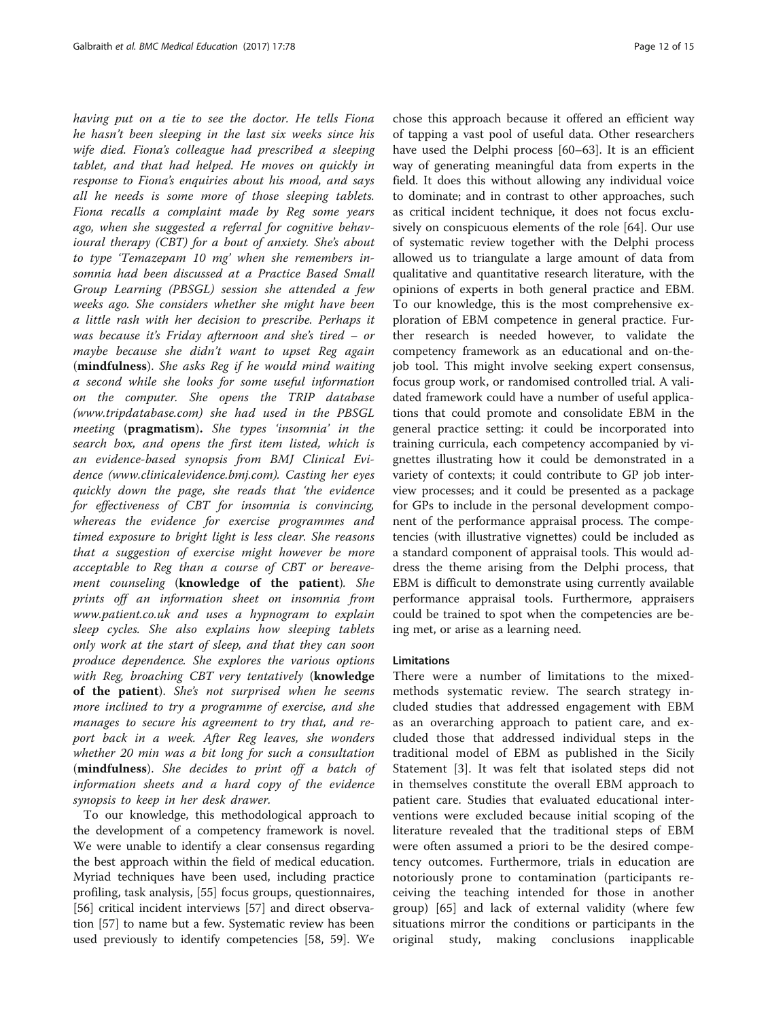having put on a tie to see the doctor. He tells Fiona he hasn't been sleeping in the last six weeks since his wife died. Fiona's colleague had prescribed a sleeping tablet, and that had helped. He moves on quickly in response to Fiona's enquiries about his mood, and says all he needs is some more of those sleeping tablets. Fiona recalls a complaint made by Reg some years ago, when she suggested a referral for cognitive behavioural therapy (CBT) for a bout of anxiety. She's about to type 'Temazepam 10 mg' when she remembers insomnia had been discussed at a Practice Based Small Group Learning (PBSGL) session she attended a few weeks ago. She considers whether she might have been a little rash with her decision to prescribe. Perhaps it was because it's Friday afternoon and she's tired – or maybe because she didn't want to upset Reg again (mindfulness). She asks Reg if he would mind waiting a second while she looks for some useful information on the computer. She opens the TRIP database (www.tripdatabase.com) she had used in the PBSGL meeting (pragmatism). She types 'insomnia' in the search box, and opens the first item listed, which is an evidence-based synopsis from BMJ Clinical Evidence (www.clinicalevidence.bmj.com). Casting her eyes quickly down the page, she reads that 'the evidence for effectiveness of CBT for insomnia is convincing, whereas the evidence for exercise programmes and timed exposure to bright light is less clear. She reasons that a suggestion of exercise might however be more acceptable to Reg than a course of CBT or bereavement counseling (knowledge of the patient). She prints off an information sheet on insomnia from www.patient.co.uk and uses a hypnogram to explain sleep cycles. She also explains how sleeping tablets only work at the start of sleep, and that they can soon produce dependence. She explores the various options with Reg, broaching CBT very tentatively (knowledge of the patient). She's not surprised when he seems more inclined to try a programme of exercise, and she manages to secure his agreement to try that, and report back in a week. After Reg leaves, she wonders whether 20 min was a bit long for such a consultation (mindfulness). She decides to print off a batch of information sheets and a hard copy of the evidence synopsis to keep in her desk drawer.

To our knowledge, this methodological approach to the development of a competency framework is novel. We were unable to identify a clear consensus regarding the best approach within the field of medical education. Myriad techniques have been used, including practice profiling, task analysis, [[55](#page-14-0)] focus groups, questionnaires, [[56\]](#page-14-0) critical incident interviews [\[57\]](#page-14-0) and direct observation [\[57](#page-14-0)] to name but a few. Systematic review has been used previously to identify competencies [\[58](#page-14-0), [59\]](#page-14-0). We

chose this approach because it offered an efficient way of tapping a vast pool of useful data. Other researchers have used the Delphi process [\[60](#page-14-0)–[63\]](#page-14-0). It is an efficient way of generating meaningful data from experts in the field. It does this without allowing any individual voice to dominate; and in contrast to other approaches, such as critical incident technique, it does not focus exclusively on conspicuous elements of the role [[64\]](#page-14-0). Our use of systematic review together with the Delphi process allowed us to triangulate a large amount of data from qualitative and quantitative research literature, with the opinions of experts in both general practice and EBM. To our knowledge, this is the most comprehensive exploration of EBM competence in general practice. Further research is needed however, to validate the competency framework as an educational and on-thejob tool. This might involve seeking expert consensus, focus group work, or randomised controlled trial. A validated framework could have a number of useful applications that could promote and consolidate EBM in the general practice setting: it could be incorporated into training curricula, each competency accompanied by vignettes illustrating how it could be demonstrated in a variety of contexts; it could contribute to GP job interview processes; and it could be presented as a package for GPs to include in the personal development component of the performance appraisal process. The competencies (with illustrative vignettes) could be included as a standard component of appraisal tools. This would address the theme arising from the Delphi process, that EBM is difficult to demonstrate using currently available performance appraisal tools. Furthermore, appraisers could be trained to spot when the competencies are being met, or arise as a learning need.

#### Limitations

There were a number of limitations to the mixedmethods systematic review. The search strategy included studies that addressed engagement with EBM as an overarching approach to patient care, and excluded those that addressed individual steps in the traditional model of EBM as published in the Sicily Statement [\[3](#page-13-0)]. It was felt that isolated steps did not in themselves constitute the overall EBM approach to patient care. Studies that evaluated educational interventions were excluded because initial scoping of the literature revealed that the traditional steps of EBM were often assumed a priori to be the desired competency outcomes. Furthermore, trials in education are notoriously prone to contamination (participants receiving the teaching intended for those in another group) [\[65](#page-14-0)] and lack of external validity (where few situations mirror the conditions or participants in the original study, making conclusions inapplicable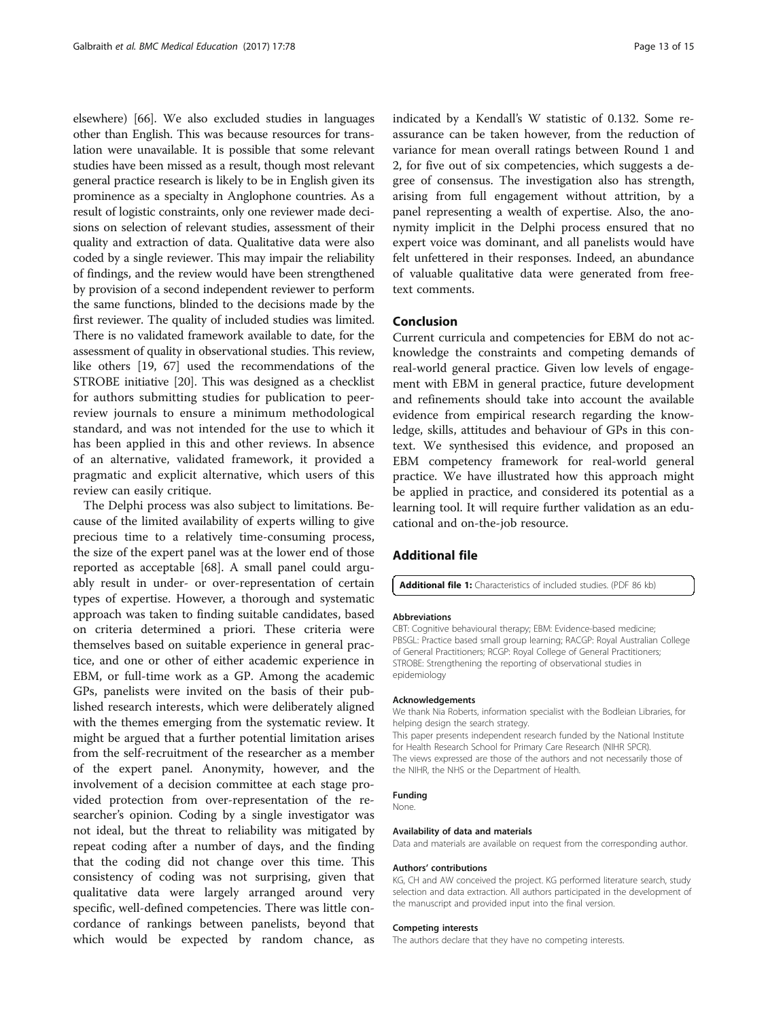<span id="page-12-0"></span>elsewhere) [[66](#page-14-0)]. We also excluded studies in languages other than English. This was because resources for translation were unavailable. It is possible that some relevant studies have been missed as a result, though most relevant general practice research is likely to be in English given its prominence as a specialty in Anglophone countries. As a result of logistic constraints, only one reviewer made decisions on selection of relevant studies, assessment of their quality and extraction of data. Qualitative data were also coded by a single reviewer. This may impair the reliability of findings, and the review would have been strengthened by provision of a second independent reviewer to perform the same functions, blinded to the decisions made by the first reviewer. The quality of included studies was limited. There is no validated framework available to date, for the assessment of quality in observational studies. This review, like others [[19](#page-13-0), [67](#page-14-0)] used the recommendations of the STROBE initiative [[20\]](#page-13-0). This was designed as a checklist for authors submitting studies for publication to peerreview journals to ensure a minimum methodological standard, and was not intended for the use to which it has been applied in this and other reviews. In absence of an alternative, validated framework, it provided a pragmatic and explicit alternative, which users of this review can easily critique.

The Delphi process was also subject to limitations. Because of the limited availability of experts willing to give precious time to a relatively time-consuming process, the size of the expert panel was at the lower end of those reported as acceptable [[68](#page-14-0)]. A small panel could arguably result in under- or over-representation of certain types of expertise. However, a thorough and systematic approach was taken to finding suitable candidates, based on criteria determined a priori. These criteria were themselves based on suitable experience in general practice, and one or other of either academic experience in EBM, or full-time work as a GP. Among the academic GPs, panelists were invited on the basis of their published research interests, which were deliberately aligned with the themes emerging from the systematic review. It might be argued that a further potential limitation arises from the self-recruitment of the researcher as a member of the expert panel. Anonymity, however, and the involvement of a decision committee at each stage provided protection from over-representation of the researcher's opinion. Coding by a single investigator was not ideal, but the threat to reliability was mitigated by repeat coding after a number of days, and the finding that the coding did not change over this time. This consistency of coding was not surprising, given that qualitative data were largely arranged around very specific, well-defined competencies. There was little concordance of rankings between panelists, beyond that which would be expected by random chance, as

indicated by a Kendall's W statistic of 0.132. Some reassurance can be taken however, from the reduction of variance for mean overall ratings between Round 1 and 2, for five out of six competencies, which suggests a degree of consensus. The investigation also has strength, arising from full engagement without attrition, by a panel representing a wealth of expertise. Also, the anonymity implicit in the Delphi process ensured that no expert voice was dominant, and all panelists would have felt unfettered in their responses. Indeed, an abundance of valuable qualitative data were generated from freetext comments.

### Conclusion

Current curricula and competencies for EBM do not acknowledge the constraints and competing demands of real-world general practice. Given low levels of engagement with EBM in general practice, future development and refinements should take into account the available evidence from empirical research regarding the knowledge, skills, attitudes and behaviour of GPs in this context. We synthesised this evidence, and proposed an EBM competency framework for real-world general practice. We have illustrated how this approach might be applied in practice, and considered its potential as a learning tool. It will require further validation as an educational and on-the-job resource.

### Additional file

[Additional file 1:](dx.doi.org/10.1186/s12909-017-0916-1) Characteristics of included studies. (PDF 86 kb)

#### Abbreviations

CBT: Cognitive behavioural therapy; EBM: Evidence-based medicine; PBSGL: Practice based small group learning; RACGP: Royal Australian College of General Practitioners; RCGP: Royal College of General Practitioners; STROBE: Strengthening the reporting of observational studies in epidemiology

#### Acknowledgements

We thank Nia Roberts, information specialist with the Bodleian Libraries, for helping design the search strategy.

This paper presents independent research funded by the National Institute for Health Research School for Primary Care Research (NIHR SPCR). The views expressed are those of the authors and not necessarily those of the NIHR, the NHS or the Department of Health.

#### Funding

None.

#### Availability of data and materials

Data and materials are available on request from the corresponding author.

#### Authors' contributions

KG, CH and AW conceived the project. KG performed literature search, study selection and data extraction. All authors participated in the development of the manuscript and provided input into the final version.

#### Competing interests

The authors declare that they have no competing interests.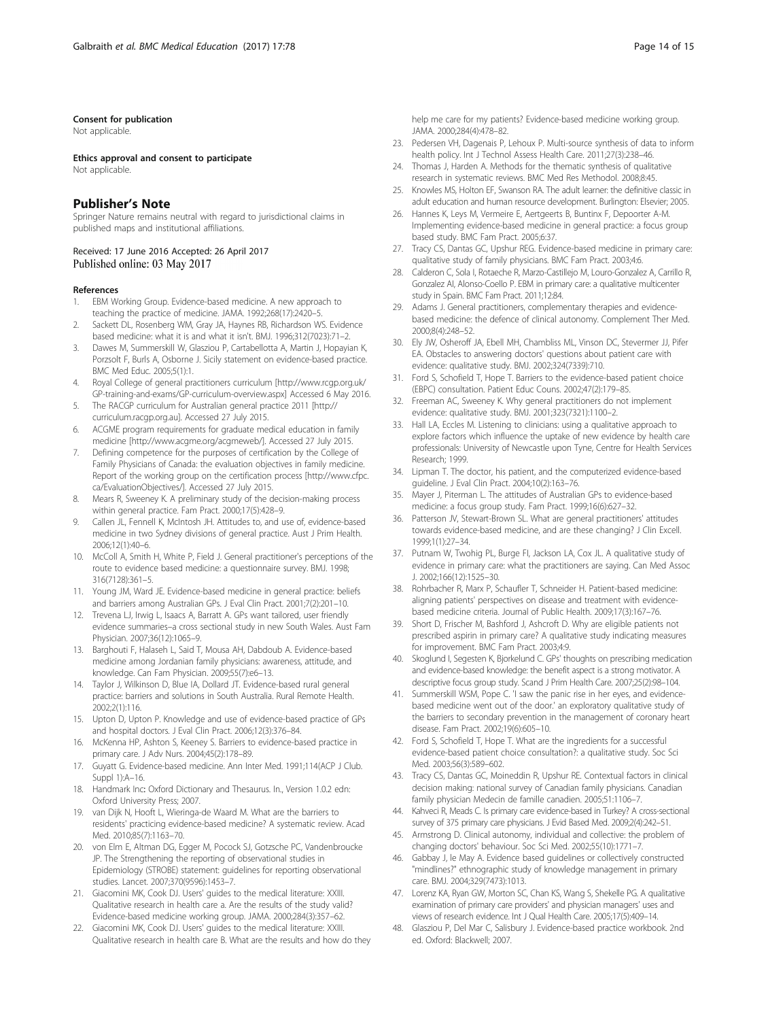#### <span id="page-13-0"></span>Consent for publication

Not applicable.

#### Ethics approval and consent to participate

Not applicable

#### Publisher's Note

Springer Nature remains neutral with regard to jurisdictional claims in published maps and institutional affiliations.

#### Received: 17 June 2016 Accepted: 26 April 2017 Published online: 03 May 2017

#### References

- 1. EBM Working Group. Evidence-based medicine. A new approach to teaching the practice of medicine. JAMA. 1992;268(17):2420–5.
- 2. Sackett DL, Rosenberg WM, Gray JA, Haynes RB, Richardson WS. Evidence based medicine: what it is and what it isn't. BMJ. 1996;312(7023):71–2.
- 3. Dawes M, Summerskill W, Glasziou P, Cartabellotta A, Martin J, Hopayian K, Porzsolt F, Burls A, Osborne J. Sicily statement on evidence-based practice. BMC Med Educ. 2005;5(1):1.
- 4. Royal College of general practitioners curriculum [http://www.rcgp.org.uk/ GP-training-and-exams/GP-curriculum-overview.aspx] Accessed 6 May 2016.
- 5. The RACGP curriculum for Australian general practice 2011 [http:// curriculum.racgp.org.au]. Accessed 27 July 2015.
- 6. ACGME program requirements for graduate medical education in family medicine [http://www.acgme.org/acgmeweb/]. Accessed 27 July 2015.
- 7. Defining competence for the purposes of certification by the College of Family Physicians of Canada: the evaluation objectives in family medicine. Report of the working group on the certification process [http://www.cfpc. ca/EvaluationObjectives/]. Accessed 27 July 2015.
- 8. Mears R, Sweeney K. A preliminary study of the decision-making process within general practice. Fam Pract. 2000;17(5):428–9.
- 9. Callen JL, Fennell K, McIntosh JH. Attitudes to, and use of, evidence-based medicine in two Sydney divisions of general practice. Aust J Prim Health. 2006;12(1):40–6.
- 10. McColl A, Smith H, White P, Field J. General practitioner's perceptions of the route to evidence based medicine: a questionnaire survey. BMJ. 1998; 316(7128):361–5.
- 11. Young JM, Ward JE. Evidence-based medicine in general practice: beliefs and barriers among Australian GPs. J Eval Clin Pract. 2001;7(2):201–10.
- 12. Trevena LJ, Irwig L, Isaacs A, Barratt A. GPs want tailored, user friendly evidence summaries–a cross sectional study in new South Wales. Aust Fam Physician. 2007;36(12):1065–9.
- 13. Barghouti F, Halaseh L, Said T, Mousa AH, Dabdoub A. Evidence-based medicine among Jordanian family physicians: awareness, attitude, and knowledge. Can Fam Physician. 2009;55(7):e6–13.
- 14. Taylor J, Wilkinson D, Blue IA, Dollard JT. Evidence-based rural general practice: barriers and solutions in South Australia. Rural Remote Health. 2002;2(1):116.
- 15. Upton D, Upton P. Knowledge and use of evidence-based practice of GPs and hospital doctors. J Eval Clin Pract. 2006;12(3):376–84.
- 16. McKenna HP, Ashton S, Keeney S. Barriers to evidence-based practice in primary care. J Adv Nurs. 2004;45(2):178–89.
- 17. Guyatt G. Evidence-based medicine. Ann Inter Med. 1991;114(ACP J Club. Suppl 1):A–16.
- 18. Handmark Inc: Oxford Dictionary and Thesaurus. In., Version 1.0.2 edn: Oxford University Press; 2007.
- 19. van Dijk N, Hooft L, Wieringa-de Waard M. What are the barriers to residents' practicing evidence-based medicine? A systematic review. Acad Med. 2010;85(7):1163–70.
- 20. von Elm E, Altman DG, Egger M, Pocock SJ, Gotzsche PC, Vandenbroucke JP. The Strengthening the reporting of observational studies in Epidemiology (STROBE) statement: guidelines for reporting observational studies. Lancet. 2007;370(9596):1453–7.
- 21. Giacomini MK, Cook DJ. Users' guides to the medical literature: XXIII. Qualitative research in health care a. Are the results of the study valid? Evidence-based medicine working group. JAMA. 2000;284(3):357–62.
- 22. Giacomini MK, Cook DJ. Users' guides to the medical literature: XXIII. Qualitative research in health care B. What are the results and how do they

help me care for my patients? Evidence-based medicine working group. JAMA. 2000;284(4):478–82.

- 23. Pedersen VH, Dagenais P, Lehoux P. Multi-source synthesis of data to inform health policy. Int J Technol Assess Health Care. 2011;27(3):238–46.
- 24. Thomas J, Harden A. Methods for the thematic synthesis of qualitative research in systematic reviews. BMC Med Res Methodol. 2008;8:45.
- 25. Knowles MS, Holton EF, Swanson RA. The adult learner: the definitive classic in adult education and human resource development. Burlington: Elsevier; 2005.
- 26. Hannes K, Leys M, Vermeire E, Aertgeerts B, Buntinx F, Depoorter A-M. Implementing evidence-based medicine in general practice: a focus group based study. BMC Fam Pract. 2005;6:37.
- 27. Tracy CS, Dantas GC, Upshur REG. Evidence-based medicine in primary care: qualitative study of family physicians. BMC Fam Pract. 2003;4:6.
- 28. Calderon C, Sola I, Rotaeche R, Marzo-Castillejo M, Louro-Gonzalez A, Carrillo R, Gonzalez AI, Alonso-Coello P. EBM in primary care: a qualitative multicenter study in Spain. BMC Fam Pract. 2011;12:84.
- 29. Adams J. General practitioners, complementary therapies and evidencebased medicine: the defence of clinical autonomy. Complement Ther Med. 2000;8(4):248–52.
- 30. Ely JW, Osheroff JA, Ebell MH, Chambliss ML, Vinson DC, Stevermer JJ, Pifer EA. Obstacles to answering doctors' questions about patient care with evidence: qualitative study. BMJ. 2002;324(7339):710.
- 31. Ford S, Schofield T, Hope T. Barriers to the evidence-based patient choice (EBPC) consultation. Patient Educ Couns. 2002;47(2):179–85.
- 32. Freeman AC, Sweeney K. Why general practitioners do not implement evidence: qualitative study. BMJ. 2001;323(7321):1100–2.
- 33. Hall LA, Eccles M. Listening to clinicians: using a qualitative approach to explore factors which influence the uptake of new evidence by health care professionals: University of Newcastle upon Tyne, Centre for Health Services Research; 1999.
- 34. Lipman T. The doctor, his patient, and the computerized evidence-based guideline. J Eval Clin Pract. 2004;10(2):163–76.
- Mayer J, Piterman L. The attitudes of Australian GPs to evidence-based medicine: a focus group study. Fam Pract. 1999;16(6):627–32.
- 36. Patterson JV, Stewart-Brown SL. What are general practitioners' attitudes towards evidence-based medicine, and are these changing? J Clin Excell. 1999;1(1):27–34.
- 37. Putnam W, Twohig PL, Burge FI, Jackson LA, Cox JL. A qualitative study of evidence in primary care: what the practitioners are saying. Can Med Assoc J. 2002;166(12):1525–30.
- 38. Rohrbacher R, Marx P, Schaufler T, Schneider H. Patient-based medicine: aligning patients' perspectives on disease and treatment with evidencebased medicine criteria. Journal of Public Health. 2009;17(3):167–76.
- 39. Short D, Frischer M, Bashford J, Ashcroft D. Why are eligible patients not prescribed aspirin in primary care? A qualitative study indicating measures for improvement. BMC Fam Pract. 2003;4:9.
- 40. Skoglund I, Segesten K, Bjorkelund C. GPs' thoughts on prescribing medication and evidence-based knowledge: the benefit aspect is a strong motivator. A descriptive focus group study. Scand J Prim Health Care. 2007;25(2):98–104.
- 41. Summerskill WSM, Pope C. 'I saw the panic rise in her eyes, and evidencebased medicine went out of the door.' an exploratory qualitative study of the barriers to secondary prevention in the management of coronary heart disease. Fam Pract. 2002;19(6):605–10.
- 42. Ford S, Schofield T, Hope T. What are the ingredients for a successful evidence-based patient choice consultation?: a qualitative study. Soc Sci Med. 2003;56(3):589–602.
- 43. Tracy CS, Dantas GC, Moineddin R, Upshur RE. Contextual factors in clinical decision making: national survey of Canadian family physicians. Canadian family physician Medecin de famille canadien. 2005;51:1106–7.
- 44. Kahveci R, Meads C. Is primary care evidence-based in Turkey? A cross-sectional survey of 375 primary care physicians. J Evid Based Med. 2009;2(4):242–51.
- 45. Armstrong D. Clinical autonomy, individual and collective: the problem of changing doctors' behaviour. Soc Sci Med. 2002;55(10):1771–7.
- 46. Gabbay J, le May A. Evidence based guidelines or collectively constructed "mindlines?" ethnographic study of knowledge management in primary care. BMJ. 2004;329(7473):1013.
- 47. Lorenz KA, Ryan GW, Morton SC, Chan KS, Wang S, Shekelle PG. A qualitative examination of primary care providers' and physician managers' uses and views of research evidence. Int J Qual Health Care. 2005;17(5):409–14.
- 48. Glasziou P, Del Mar C, Salisbury J. Evidence-based practice workbook. 2nd ed. Oxford: Blackwell; 2007.